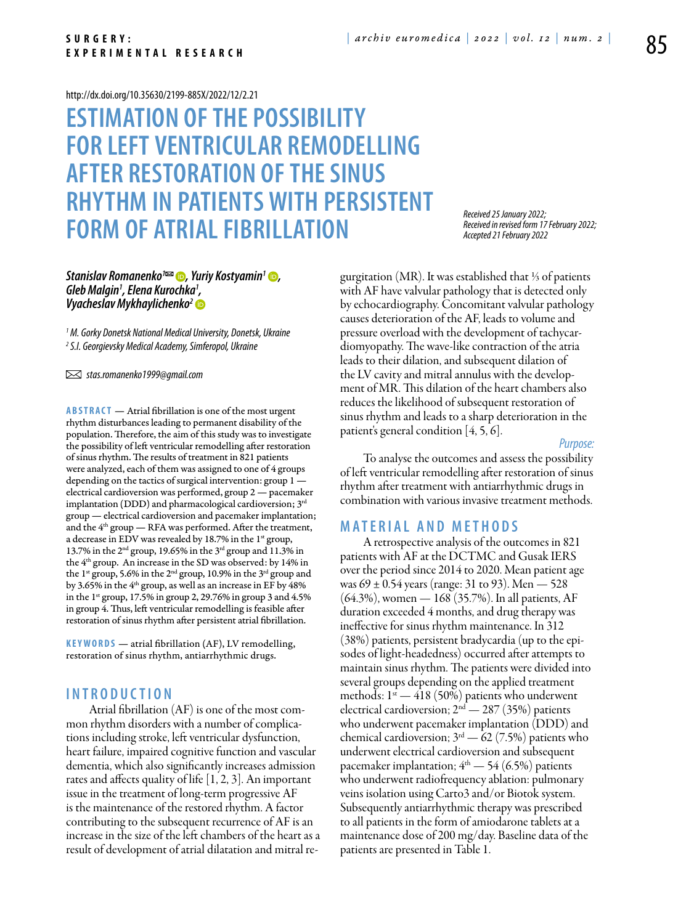#### <http://dx.doi.org/10.35630/2199-885X/2022/12/2.21>

# **Estimation of the possibility for left ventricular remodelling after restoration of the sinus rhythm in patients with persistent FORM OF ATRIAL FIBRILLATION**

### *[Stanislav Romanenko](https://orcid.org/0000-0003-0980-8818)1 , [Yuriy Kostyamin](https://orcid.org/0000-0003-0141-8719)1 , Gleb Malgin1 , Elena Kurochka1 , [Vyacheslav Mykhaylichenko2](https://orcid.org/0000-0003-4204-5912)*

*1 M. Gorky Donetsk National Medical University, Donetsk, Ukraine 2 S.I. Georgievsky Medical Academy, Simferopol, Ukraine*

 *stas.romanenko1999@gmail.com*

**Abstract** — Atrial fibrillation is one of the most urgent rhythm disturbances leading to permanent disability of the population. Therefore, the aim of this study was to investigate the possibility of left ventricular remodelling after restoration of sinus rhythm. The results of treatment in 821 patients were analyzed, each of them was assigned to one of 4 groups depending on the tactics of surgical intervention: group 1 electrical cardioversion was performed, group 2 — pacemaker implantation (DDD) and pharmacological cardioversion; 3rd group — electrical cardioversion and pacemaker implantation; and the  $4<sup>th</sup>$  group  $-$  RFA was performed. After the treatment, a decrease in EDV was revealed by 18.7% in the  $1<sup>st</sup>$  group, 13.7% in the 2nd group, 19.65% in the 3rd group and 11.3% in the 4th group. An increase in the SD was observed: by 14% in the 1<sup>st</sup> group, 5.6% in the 2<sup>nd</sup> group, 10.9% in the 3<sup>rd</sup> group and by 3.65% in the 4<sup>th</sup> group, as well as an increase in EF by 48% in the  $1<sup>st</sup>$  group, 17.5% in group 2, 29.76% in group 3 and 4.5% in group 4. Thus, left ventricular remodelling is feasible after restoration of sinus rhythm after persistent atrial fibrillation.

**K eywords** — atrial fibrillation (AF), LV remodelling, restoration of sinus rhythm, antiarrhythmic drugs.

## **I n t r o ducti o n**

Atrial fibrillation (AF) is one of the most common rhythm disorders with a number of complications including stroke, left ventricular dysfunction, heart failure, impaired cognitive function and vascular dementia, which also significantly increases admission rates and affects quality of life [1, 2, 3]. An important issue in the treatment of long-term progressive AF is the maintenance of the restored rhythm. A factor contributing to the subsequent recurrence of AF is an increase in the size of the left chambers of the heart as a result of development of atrial dilatation and mitral re-

*Received 25 January 2022; Received in revised form 17 February 2022; Accepted 21 February 2022*

gurgitation (MR). It was established that ⅓ of patients with AF have valvular pathology that is detected only by echocardiography. Concomitant valvular pathology causes deterioration of the AF, leads to volume and pressure overload with the development of tachycardiomyopathy. The wave-like contraction of the atria leads to their dilation, and subsequent dilation of the LV cavity and mitral annulus with the development of MR. This dilation of the heart chambers also reduces the likelihood of subsequent restoration of sinus rhythm and leads to a sharp deterioration in the patient's general condition [4, 5, 6].

*Purpose:* 

To analyse the outcomes and assess the possibility of left ventricular remodelling after restoration of sinus rhythm after treatment with antiarrhythmic drugs in combination with various invasive treatment methods.

#### **Mat e rial a n d me t h o d s**

A retrospective analysis of the outcomes in 821 patients with AF at the DCTMC and Gusak IERS over the period since 2014 to 2020. Mean patient age was  $69 \pm 0.54$  years (range: 31 to 93). Men  $-528$ (64.3%), women — 168 (35.7%). In all patients, AF duration exceeded 4 months, and drug therapy was ineffective for sinus rhythm maintenance. In 312 (38%) patients, persistent bradycardia (up to the episodes of light-headedness) occurred after attempts to maintain sinus rhythm. The patients were divided into several groups depending on the applied treatment methods:  $1^{\text{st}}$  — 418 (50%) patients who underwent electrical cardioversion;  $2<sup>nd</sup> - 287 (35%)$  patients who underwent pacemaker implantation (DDD) and chemical cardioversion;  $3<sup>rd</sup>$  - 62 (7.5%) patients who underwent electrical cardioversion and subsequent pacemaker implantation;  $4<sup>th</sup>$  - 54 (6.5%) patients who underwent radiofrequency ablation: pulmonary veins isolation using Carto3 and/or Biotok system. Subsequently antiarrhythmic therapy was prescribed to all patients in the form of amiodarone tablets at a maintenance dose of 200 mg/day. Baseline data of the patients are presented in Table 1.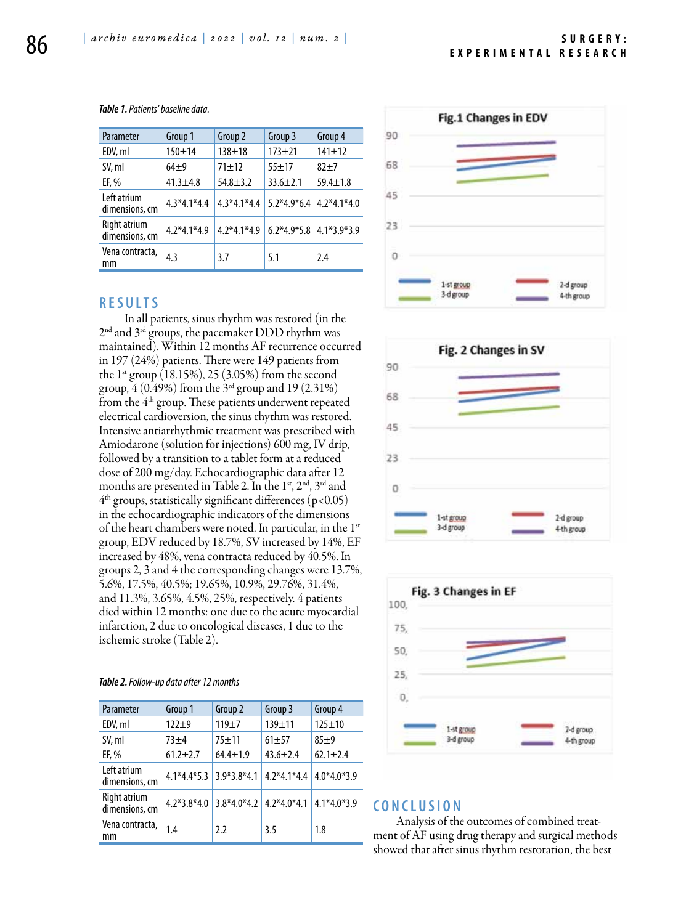| Parameter                      | Group 1       | Group 2        | Group 3        | Group 4        |
|--------------------------------|---------------|----------------|----------------|----------------|
| EDV, ml                        | $150 + 14$    | $138 + 18$     | $173 + 21$     | $141 \pm 12$   |
| SV, ml                         | $64+9$        | $71 + 12$      | $55 + 17$      | $82+7$         |
| EF, %                          | $41.3 + 4.8$  | $54.8 \pm 3.2$ | $33.6 \pm 2.1$ | $59.4 \pm 1.8$ |
| Left atrium<br>dimensions, cm  | $4.3*4.1*4.4$ | $4.3*4.1*4.4$  | $5.2*4.9*6.4$  | $4.2*4.1*4.0$  |
| Right atrium<br>dimensions, cm | $4.2*4.1*4.9$ | $4.2*4.1*4.9$  | $6.2*4.9*5.8$  | $4.1*3.9*3.9$  |
| Vena contracta,<br>mm          | 4.3           | 3.7            | 5.1            | 2.4            |

*Table 1. Patients' baseline data.*

### **R e s ult s**

 In all patients, sinus rhythm was restored (in the 2<sup>nd</sup> and 3<sup>rd</sup> groups, the pacemaker DDD rhythm was maintained). Within 12 months AF recurrence occurred in 197 (24%) patients. There were 149 patients from the  $1^{st}$  group (18.15%), 25 (3.05%) from the second group, 4 (0.49%) from the 3rd group and 19 (2.31%) from the  $4<sup>th</sup>$  group. These patients underwent repeated electrical cardioversion, the sinus rhythm was restored. Intensive antiarrhythmic treatment was prescribed with Amiodarone (solution for injections) 600 mg, IV drip, followed by a transition to a tablet form at a reduced dose of 200 mg/day. Echocardiographic data after 12 months are presented in Table 2. In the 1st, 2<sup>nd</sup>, 3<sup>rd</sup> and  $4<sup>th</sup>$  groups, statistically significant differences (p<0.05) in the echocardiographic indicators of the dimensions of the heart chambers were noted. In particular, in the 1<sup>st</sup> group, EDV reduced by 18.7%, SV increased by 14%, EF increased by 48%, vena contracta reduced by 40.5%. In groups 2, 3 and 4 the corresponding changes were 13.7%, 5.6%, 17.5%, 40.5%; 19.65%, 10.9%, 29.76%, 31.4%, and 11.3%, 3.65%, 4.5%, 25%, respectively. 4 patients died within 12 months: one due to the acute myocardial infarction, 2 due to oncological diseases, 1 due to the ischemic stroke (Table 2).

| Parameter                      | Group 1       | Group 2        | Group 3        | Group 4        |
|--------------------------------|---------------|----------------|----------------|----------------|
| EDV, ml                        | $122 + 9$     | $119 + 7$      | $139 + 11$     | $125 \pm 10$   |
| SV, ml                         | $73 + 4$      | $75 + 11$      | $61 + 57$      | $85+9$         |
| EF, %                          | $61.2 + 2.7$  | $64.4 \pm 1.9$ | $43.6 \pm 2.4$ | $62.1 \pm 2.4$ |
| Left atrium<br>dimensions, cm  | $4.1*4.4*5.3$ | $3.9*3.8*4.1$  | $4.2*4.1*4.4$  | $4.0*4.0*3.9$  |
| Right atrium<br>dimensions, cm | $4.2*3.8*4.0$ | $3.8*4.0*4.2$  | $4.2*4.0*4.1$  | $4.1*4.0*3.9$  |
| Vena contracta,<br>mm          | 1.4           | 2.2            | 3.5            | 1.8            |







# **C o n clu si o n**

Analysis of the outcomes of combined treatment of AF using drug therapy and surgical methods showed that after sinus rhythm restoration, the best